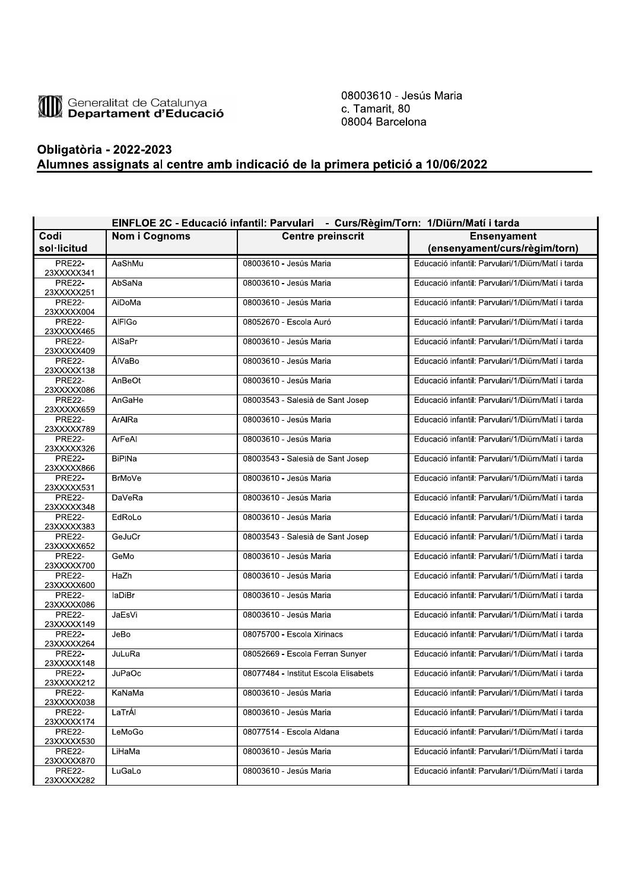

08003610 - Jesús Maria c. Tamarit, 80 08004 Barcelona

## **Obligatòria - 2022-2023** Alumnes assignats al centre amb indicació de la primera petició a 10/06/2022

|                             | EINFLOE 2C - Educació infantil: Parvulari - Curs/Règim/Torn: 1/Diürn/Matí i tarda |                                      |                                                     |  |  |
|-----------------------------|-----------------------------------------------------------------------------------|--------------------------------------|-----------------------------------------------------|--|--|
| Codi<br>sol·licitud         | <b>Nom i Cognoms</b>                                                              | <b>Centre preinscrit</b>             | <b>Ensenyament</b><br>(ensenyament/curs/règim/torn) |  |  |
| <b>PRE22-</b><br>23XXXXX341 | AaShMu                                                                            | 08003610 - Jesús Maria               | Educació infantil: Parvulari/1/Diürn/Matí i tarda   |  |  |
| <b>PRE22-</b><br>23XXXXX251 | AbSaNa                                                                            | 08003610 - Jesús Maria               | Educació infantil: Parvulari/1/Diürn/Matí i tarda   |  |  |
| <b>PRE22-</b><br>23XXXXX004 | AiDoMa                                                                            | 08003610 - Jesús Maria               | Educació infantil: Parvulari/1/Diürn/Matí i tarda   |  |  |
| <b>PRE22-</b><br>23XXXXX465 | <b>AIFIGo</b>                                                                     | 08052670 - Escola Auró               | Educació infantil: Parvulari/1/Diürn/Matí i tarda   |  |  |
| <b>PRE22-</b><br>23XXXXX409 | AlSaPr                                                                            | 08003610 - Jesús Maria               | Educació infantil: Parvulari/1/Diürn/Matí i tarda   |  |  |
| <b>PRE22-</b><br>23XXXXX138 | ÁlVaBo                                                                            | 08003610 - Jesús Maria               | Educació infantil: Parvulari/1/Diürn/Matí i tarda   |  |  |
| <b>PRE22-</b><br>23XXXXX086 | AnBeOt                                                                            | 08003610 - Jesús Maria               | Educació infantil: Parvulari/1/Diürn/Matí i tarda   |  |  |
| <b>PRE22-</b><br>23XXXXX659 | AnGaHe                                                                            | 08003543 - Salesià de Sant Josep     | Educació infantil: Parvulari/1/Diürn/Matí i tarda   |  |  |
| <b>PRE22-</b><br>23XXXXX789 | ArAIRa                                                                            | 08003610 - Jesús Maria               | Educació infantil: Parvulari/1/Diürn/Matí i tarda   |  |  |
| <b>PRE22-</b><br>23XXXXX326 | ArFeAl                                                                            | 08003610 - Jesús Maria               | Educació infantil: Parvulari/1/Diürn/Matí i tarda   |  |  |
| <b>PRE22-</b><br>23XXXXX866 | <b>BiPINa</b>                                                                     | 08003543 - Salesià de Sant Josep     | Educació infantil: Parvulari/1/Diürn/Matí i tarda   |  |  |
| <b>PRE22-</b><br>23XXXXX531 | <b>BrMoVe</b>                                                                     | 08003610 - Jesús Maria               | Educació infantil: Parvulari/1/Diürn/Matí i tarda   |  |  |
| <b>PRE22-</b><br>23XXXXX348 | DaVeRa                                                                            | 08003610 - Jesús Maria               | Educació infantil: Parvulari/1/Diürn/Matí i tarda   |  |  |
| <b>PRE22-</b><br>23XXXXX383 | EdRoLo                                                                            | 08003610 - Jesús Maria               | Educació infantil: Parvulari/1/Diürn/Matí i tarda   |  |  |
| <b>PRE22-</b><br>23XXXXX652 | GeJuCr                                                                            | 08003543 - Salesià de Sant Josep     | Educació infantil: Parvulari/1/Diürn/Matí i tarda   |  |  |
| <b>PRE22-</b><br>23XXXXX700 | GeMo                                                                              | 08003610 - Jesús Maria               | Educació infantil: Parvulari/1/Diürn/Matí i tarda   |  |  |
| <b>PRE22-</b><br>23XXXXX600 | HaZh                                                                              | 08003610 - Jesús Maria               | Educació infantil: Parvulari/1/Diürn/Matí i tarda   |  |  |
| <b>PRE22-</b><br>23XXXXX086 | laDiBr                                                                            | 08003610 - Jesús Maria               | Educació infantil: Parvulari/1/Diürn/Matí i tarda   |  |  |
| <b>PRE22-</b><br>23XXXXX149 | JaEsVi                                                                            | 08003610 - Jesús Maria               | Educació infantil: Parvulari/1/Diürn/Matí i tarda   |  |  |
| <b>PRE22-</b><br>23XXXXX264 | JeBo                                                                              | 08075700 - Escola Xirinacs           | Educació infantil: Parvulari/1/Diürn/Matí i tarda   |  |  |
| <b>PRE22-</b><br>23XXXXX148 | JuLuRa                                                                            | 08052669 - Escola Ferran Sunyer      | Educació infantil: Parvulari/1/Diürn/Matí i tarda   |  |  |
| <b>PRE22-</b><br>23XXXXX212 | <b>JuPaOc</b>                                                                     | 08077484 - Institut Escola Elisabets | Educació infantil: Parvulari/1/Diürn/Matí i tarda   |  |  |
| <b>PRE22-</b><br>23XXXXX038 | KaNaMa                                                                            | 08003610 - Jesús Maria               | Educació infantil: Parvulari/1/Diürn/Matí i tarda   |  |  |
| <b>PRE22-</b><br>23XXXXX174 | LaTrÁI                                                                            | 08003610 - Jesús Maria               | Educació infantil: Parvulari/1/Diürn/Matí i tarda   |  |  |
| <b>PRE22-</b><br>23XXXXX530 | LeMoGo                                                                            | 08077514 - Escola Aldana             | Educació infantil: Parvulari/1/Diürn/Matí i tarda   |  |  |
| <b>PRE22-</b><br>23XXXXX870 | LiHaMa                                                                            | 08003610 - Jesús Maria               | Educació infantil: Parvulari/1/Diürn/Matí i tarda   |  |  |
| <b>PRE22-</b><br>23XXXXX282 | LuGaLo                                                                            | 08003610 - Jesús Maria               | Educació infantil: Parvulari/1/Diürn/Matí i tarda   |  |  |